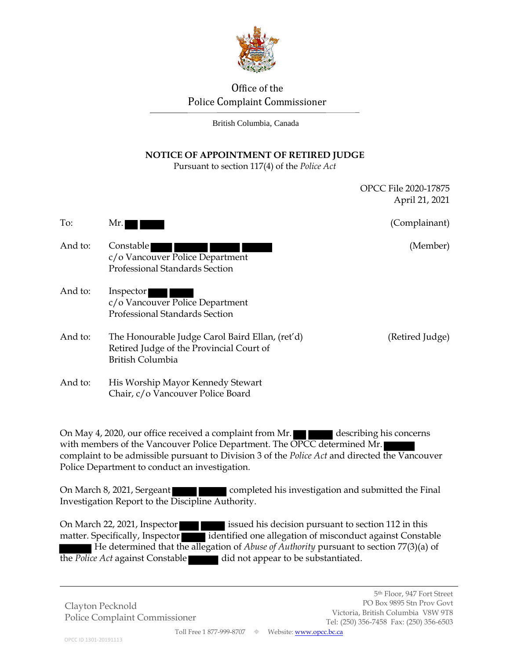

# Office of the Police Complaint Commissioner

British Columbia, Canada

## **NOTICE OF APPOINTMENT OF RETIRED JUDGE**

Pursuant to section 117(4) of the *Police Act*

|         |                                                                                                                        | April 21, 2021  |
|---------|------------------------------------------------------------------------------------------------------------------------|-----------------|
| To:     | Mr.                                                                                                                    | (Complainant)   |
| And to: | Constable<br>c/o Vancouver Police Department<br>Professional Standards Section                                         | (Member)        |
| And to: | Inspector<br>c/o Vancouver Police Department<br><b>Professional Standards Section</b>                                  |                 |
| And to: | The Honourable Judge Carol Baird Ellan, (ret'd)<br>Retired Judge of the Provincial Court of<br><b>British Columbia</b> | (Retired Judge) |
| And to: | His Worship Mayor Kennedy Stewart<br>Chair, c/o Vancouver Police Board                                                 |                 |

On May 4, 2020, our office received a complaint from Mr. describing his concerns with members of the Vancouver Police Department. The OPCC determined Mr. complaint to be admissible pursuant to Division 3 of the *Police Act* and directed the Vancouver Police Department to conduct an investigation.

On March 8, 2021, Sergeant **completed his investigation and submitted the Final** Investigation Report to the Discipline Authority.

On March 22, 2021, Inspector issued his decision pursuant to section 112 in this matter. Specifically, Inspector identified one allegation of misconduct against Constable He determined that the allegation of *Abuse of Authority* pursuant to section 77(3)(a) of the *Police Act* against Constable did not appear to be substantiated.

Clayton Pecknold Police Complaint Commissioner OPCC File 2020-17875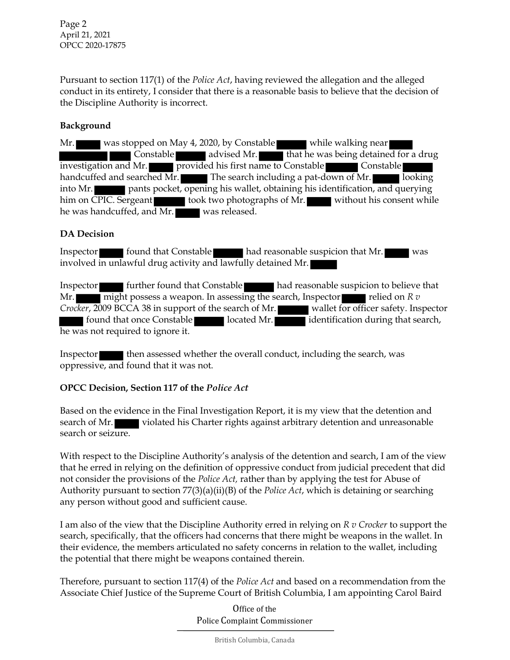Page 2 April 21, 2021 OPCC 2020-17875

Pursuant to section 117(1) of the *Police Act*, having reviewed the allegation and the alleged conduct in its entirety, I consider that there is a reasonable basis to believe that the decision of the Discipline Authority is incorrect.

### **Background**

Mr. was stopped on May 4, 2020, by Constable while walking near Constable **and advised Mr.** That he was being detained for a drug investigation and Mr. provided his first name to Constable Constable handcuffed and searched Mr. The search including a pat-down of Mr. looking into Mr. pants pocket, opening his wallet, obtaining his identification, and querying him on CPIC. Sergeant took two photographs of Mr. without his consent while he was handcuffed, and Mr. was released.

#### **DA Decision**

Inspector found that Constable had reasonable suspicion that Mr. was involved in unlawful drug activity and lawfully detained Mr.

Inspector **further found that Constable had reasonable suspicion to believe that** Mr. might possess a weapon. In assessing the search, Inspector relied on *R v Crocker*, 2009 BCCA 38 in support of the search of Mr. wallet for officer safety. Inspector **found that once Constable located Mr.** identification during that search, he was not required to ignore it.

Inspector the assessed whether the overall conduct, including the search, was oppressive, and found that it was not.

#### **OPCC Decision, Section 117 of the** *Police Act*

Based on the evidence in the Final Investigation Report, it is my view that the detention and search of Mr. violated his Charter rights against arbitrary detention and unreasonable search or seizure.

With respect to the Discipline Authority's analysis of the detention and search, I am of the view that he erred in relying on the definition of oppressive conduct from judicial precedent that did not consider the provisions of the *Police Act,* rather than by applying the test for Abuse of Authority pursuant to section 77(3)(a)(ii)(B) of the *Police Act*, which is detaining or searching any person without good and sufficient cause.

I am also of the view that the Discipline Authority erred in relying on *R v Crocker* to support the search, specifically, that the officers had concerns that there might be weapons in the wallet. In their evidence, the members articulated no safety concerns in relation to the wallet, including the potential that there might be weapons contained therein.

Therefore, pursuant to section 117(4) of the *Police Act* and based on a recommendation from the Associate Chief Justice of the Supreme Court of British Columbia, I am appointing Carol Baird

> Office of the Police Complaint Commissioner

> > British Columbia, Canada